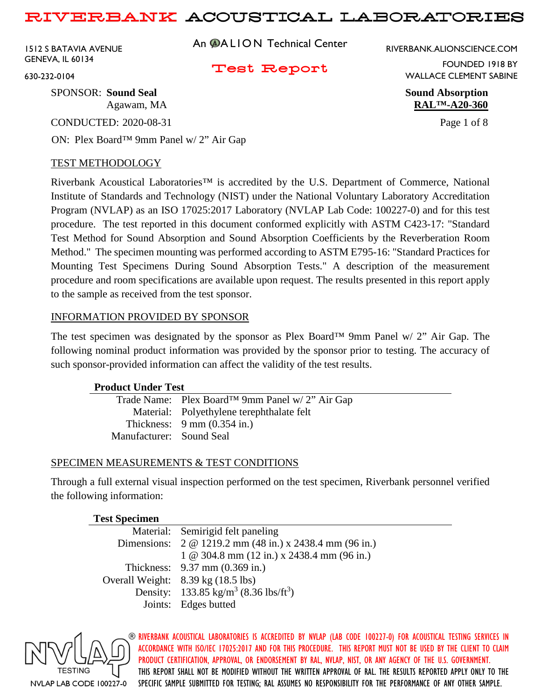1512 S BATAVIA AVENUE GENEVA, IL 60134

An **@ALION** Technical Center

RIVERBANK.ALIONSCIENCE.COM

## Test Report

FOUNDED 1918 BY WALLACE CLEMENT SABINE

Agawam, MA **RAL™-A20-360**

630-232-0104

SPONSOR: **Sound Seal Sound Absorption**

CONDUCTED: 2020-08-31 Page 1 of 8

ON: Plex Board™ 9mm Panel w/ 2" Air Gap

## TEST METHODOLOGY

Riverbank Acoustical Laboratories™ is accredited by the U.S. Department of Commerce, National Institute of Standards and Technology (NIST) under the National Voluntary Laboratory Accreditation Program (NVLAP) as an ISO 17025:2017 Laboratory (NVLAP Lab Code: 100227-0) and for this test procedure. The test reported in this document conformed explicitly with ASTM C423-17: "Standard Test Method for Sound Absorption and Sound Absorption Coefficients by the Reverberation Room Method." The specimen mounting was performed according to ASTM E795-16: "Standard Practices for Mounting Test Specimens During Sound Absorption Tests." A description of the measurement procedure and room specifications are available upon request. The results presented in this report apply to the sample as received from the test sponsor.

## INFORMATION PROVIDED BY SPONSOR

The test specimen was designated by the sponsor as Plex Board™ 9mm Panel w/ 2" Air Gap. The following nominal product information was provided by the sponsor prior to testing. The accuracy of such sponsor-provided information can affect the validity of the test results.

## **Product Under Test**

|                          | Trade Name: Plex Board <sup>TM</sup> 9mm Panel w/ 2" Air Gap |
|--------------------------|--------------------------------------------------------------|
|                          | Material: Polyethylene terephthalate felt                    |
|                          | Thickness: $9 \text{ mm} (0.354 \text{ in.})$                |
| Manufacturer: Sound Seal |                                                              |
|                          |                                                              |

# SPECIMEN MEASUREMENTS & TEST CONDITIONS

Through a full external visual inspection performed on the test specimen, Riverbank personnel verified the following information:

## **Test Specimen** Material: Semirigid felt paneling Dimensions: 2 @ 1219.2 mm (48 in.) x 2438.4 mm (96 in.) 1 @ 304.8 mm (12 in.) x 2438.4 mm (96 in.) Thickness: 9.37 mm (0.369 in.) Overall Weight: 8.39 kg (18.5 lbs) Density: 133.85 kg/m<sup>3</sup> (8.36 lbs/ft<sup>3</sup>) Joints: Edges butted

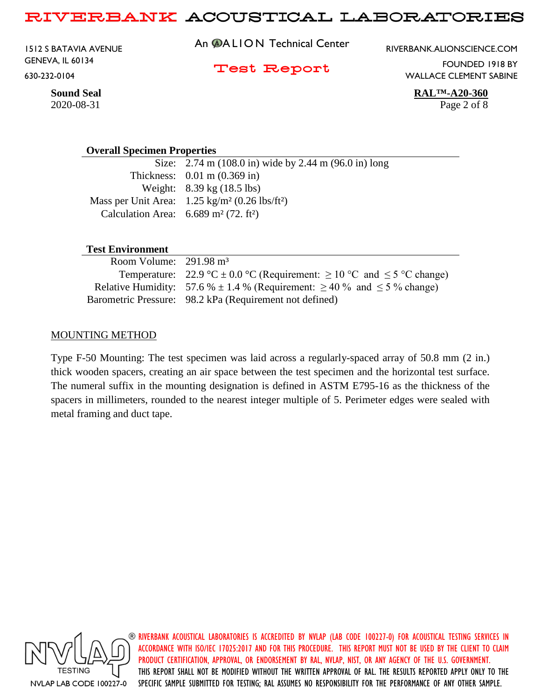1512 S BATAVIA AVENUE GENEVA, IL 60134 630-232-0104

An **@ALION** Technical Center

RIVERBANK.ALIONSCIENCE.COM

Test Report

FOUNDED 1918 BY WALLACE CLEMENT SABINE

**Sound Seal RAL™-A20-360**

#### **Overall Specimen Properties**

Size: 2.74 m (108.0 in) wide by 2.44 m (96.0 in) long Thickness: 0.01 m (0.369 in) Weight: 8.39 kg (18.5 lbs) Mass per Unit Area: 1.25 kg/m² (0.26 lbs/ft²) Calculation Area:  $6.689 \text{ m}^2$  (72. ft<sup>2</sup>)

#### **Test Environment**

| Room Volume: $291.98 \text{ m}^3$ |                                                                                        |
|-----------------------------------|----------------------------------------------------------------------------------------|
|                                   | Temperature: 22.9 °C $\pm$ 0.0 °C (Requirement: $\geq$ 10 °C and $\leq$ 5 °C change)   |
|                                   | Relative Humidity: 57.6 % $\pm$ 1.4 % (Requirement: $\geq$ 40 % and $\leq$ 5 % change) |
|                                   | Barometric Pressure: 98.2 kPa (Requirement not defined)                                |

#### MOUNTING METHOD

Type F-50 Mounting: The test specimen was laid across a regularly-spaced array of 50.8 mm (2 in.) thick wooden spacers, creating an air space between the test specimen and the horizontal test surface. The numeral suffix in the mounting designation is defined in ASTM E795-16 as the thickness of the spacers in millimeters, rounded to the nearest integer multiple of 5. Perimeter edges were sealed with metal framing and duct tape.



RIVERBANK ACOUSTICAL LABORATORIES IS ACCREDITED BY NVLAP (LAB CODE 100227-0) FOR ACOUSTICAL TESTING SERVICES IN ACCORDANCE WITH ISO/IEC 17025:2017 AND FOR THIS PROCEDURE. THIS REPORT MUST NOT BE USED BY THE CLIENT TO CLAIM PRODUCT CERTIFICATION, APPROVAL, OR ENDORSEMENT BY RAL, NVLAP, NIST, OR ANY AGENCY OF THE U.S. GOVERNMENT. THIS REPORT SHALL NOT BE MODIFIED WITHOUT THE WRITTEN APPROVAL OF RAL. THE RESULTS REPORTED APPLY ONLY TO THE SPECIFIC SAMPLE SUBMITTED FOR TESTING; RAL ASSUMES NO RESPONSIBILITY FOR THE PERFORMANCE OF ANY OTHER SAMPLE.

2020-08-31 Page 2 of 8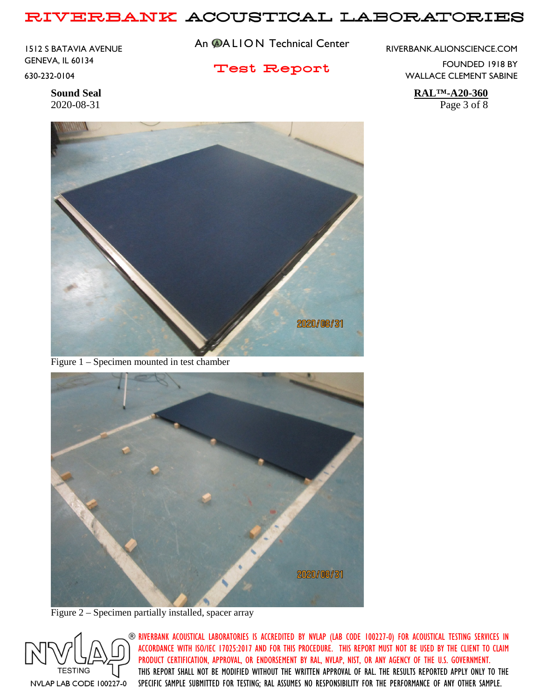1512 S BATAVIA AVENUE GENEVA, IL 60134 630-232-0104

An **@ALION** Technical Center

Test Report

RIVERBANK.ALIONSCIENCE.COM

FOUNDED 1918 BY WALLACE CLEMENT SABINE

**Sound Seal RAL™-A20-360** 2020-08-31 Page 3 of 8



Figure 1 – Specimen mounted in test chamber



Figure 2 – Specimen partially installed, spacer array

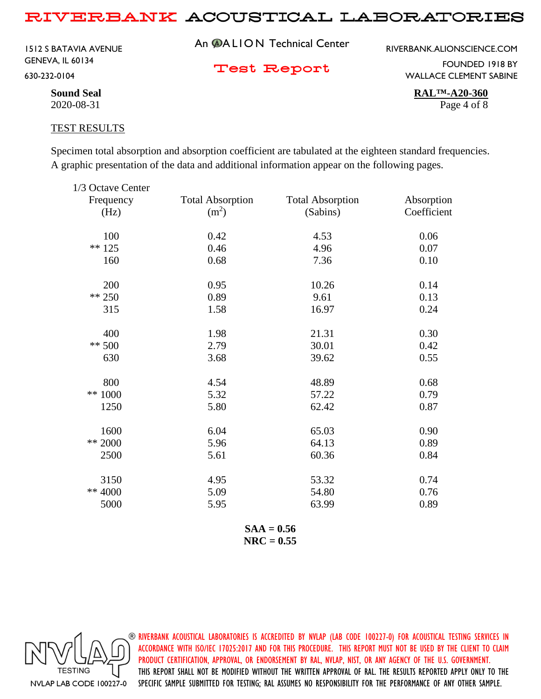1512 S BATAVIA AVENUE GENEVA, IL 60134 630-232-0104

An **@ALION** Technical Center

RIVERBANK.ALIONSCIENCE.COM

Test Report

FOUNDED 1918 BY WALLACE CLEMENT SABINE

**Sound Seal RAL™-A20-360** 2020-08-31 Page 4 of 8

#### TEST RESULTS

Specimen total absorption and absorption coefficient are tabulated at the eighteen standard frequencies. A graphic presentation of the data and additional information appear on the following pages.

| 1/3 Octave Center |                         |                         |             |
|-------------------|-------------------------|-------------------------|-------------|
| Frequency         | <b>Total Absorption</b> | <b>Total Absorption</b> | Absorption  |
| (Hz)              | (m <sup>2</sup> )       | (Sabins)                | Coefficient |
| 100               | 0.42                    | 4.53                    | 0.06        |
| $** 125$          | 0.46                    | 4.96                    | 0.07        |
| 160               | 0.68                    | 7.36                    | 0.10        |
| 200               | 0.95                    | 10.26                   | 0.14        |
| ** 250            | 0.89                    | 9.61                    | 0.13        |
| 315               | 1.58                    | 16.97                   | 0.24        |
| 400               | 1.98                    | 21.31                   | 0.30        |
| $** 500$          | 2.79                    | 30.01                   | 0.42        |
| 630               | 3.68                    | 39.62                   | 0.55        |
| 800               | 4.54                    | 48.89                   | 0.68        |
| ** 1000           | 5.32                    | 57.22                   | 0.79        |
| 1250              | 5.80                    | 62.42                   | 0.87        |
| 1600              | 6.04                    | 65.03                   | 0.90        |
| ** 2000           | 5.96                    | 64.13                   | 0.89        |
| 2500              | 5.61                    | 60.36                   | 0.84        |
| 3150              | 4.95                    | 53.32                   | 0.74        |
| ** 4000           | 5.09                    | 54.80                   | 0.76        |
| 5000              | 5.95                    | 63.99                   | 0.89        |
|                   |                         |                         |             |

**SAA = 0.56 NRC = 0.55**

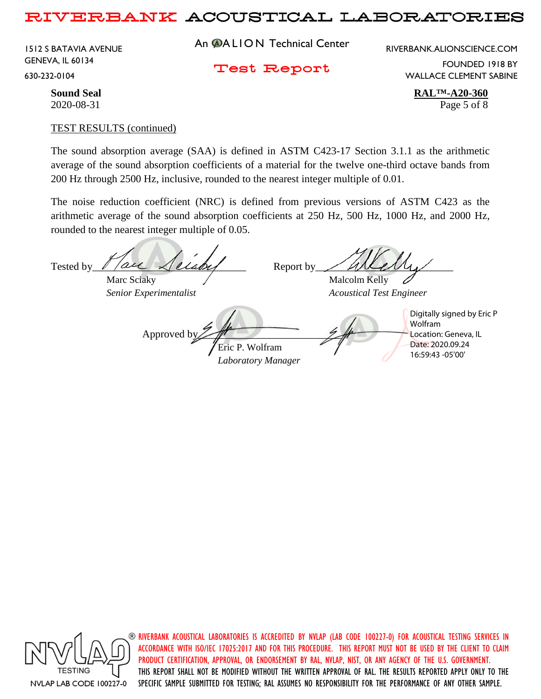1512 S BATAVIA AVENUE GENEVA, IL 60134 630-232-0104

An **@ALION** Technical Center

RIVERBANK.ALIONSCIENCE.COM

Test Report

FOUNDED 1918 BY WALLACE CLEMENT SABINE

**Sound Seal RAL™-A20-360** 2020-08-31 Page 5 of 8

#### TEST RESULTS (continued)

The sound absorption average (SAA) is defined in ASTM C423-17 Section 3.1.1 as the arithmetic average of the sound absorption coefficients of a material for the twelve one-third octave bands from 200 Hz through 2500 Hz, inclusive, rounded to the nearest integer multiple of 0.01.

The noise reduction coefficient (NRC) is defined from previous versions of ASTM C423 as the arithmetic average of the sound absorption coefficients at 250 Hz, 500 Hz, 1000 Hz, and 2000 Hz, rounded to the nearest integer multiple of 0.05.

Tested by  $\ell$  / are  $\lambda$  elaby Report by  $\ell$  and  $\ell$ Marc Sciaky  $\sqrt{\phantom{a}}$  Malcolm Kelly *Senior Experimentalist Acoustical Test Engineer* Approved b Eric P. Wolfram *Laboratory Manager* Digitally signed by Eric P Wolfram Location: Geneva, IL Date: 2020.09.24 16:59:43 -05'00'



 $\circledast$  riverbank acoustical laboratories is accredited by nylap (lab code 100227-0) for acoustical testing services in ACCORDANCE WITH ISO/IEC 17025:2017 AND FOR THIS PROCEDURE. THIS REPORT MUST NOT BE USED BY THE CLIENT TO CLAIM PRODUCT CERTIFICATION, APPROVAL, OR ENDORSEMENT BY RAL, NVLAP, NIST, OR ANY AGENCY OF THE U.S. GOVERNMENT. THIS REPORT SHALL NOT BE MODIFIED WITHOUT THE WRITTEN APPROVAL OF RAL. THE RESULTS REPORTED APPLY ONLY TO THE SPECIFIC SAMPLE SUBMITTED FOR TESTING; RAL ASSUMES NO RESPONSIBILITY FOR THE PERFORMANCE OF ANY OTHER SAMPLE.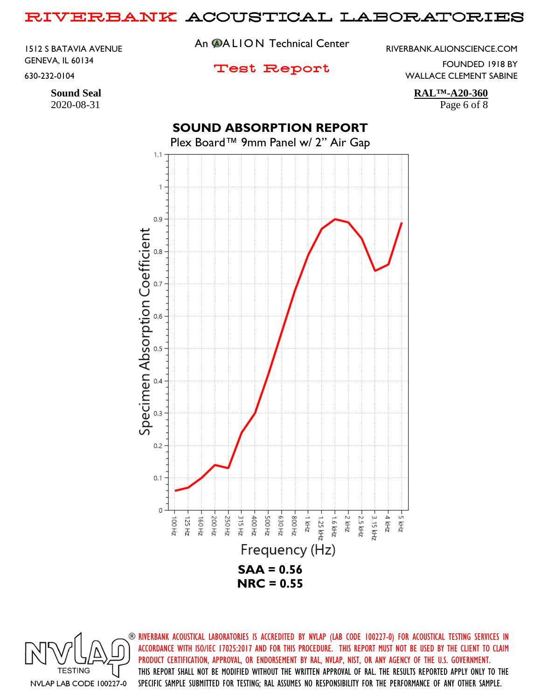1512 S BATAVIA AVENUE GENEVA, IL 60134 630-232-0104

2020-08-31 Page 6 of 8

An **@ALION** Technical Center

RIVERBANK.ALIONSCIENCE.COM

# Test Report

FOUNDED 1918 BY WALLACE CLEMENT SABINE

**Sound Seal RAL™-A20-360**

# **SOUND ABSORPTION REPORT**

Plex Board™ 9mm Panel w/ 2" Air Gap



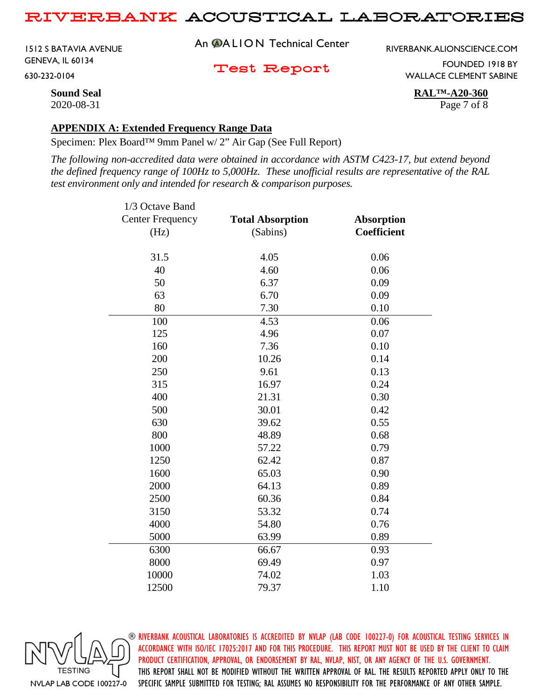1512 S BATAVIA AVENUE GENEVA, IL 60134 630-232-0104

An **@ALION** Technical Center

RIVERBANK.ALIONSCIENCE.COM

Test Report

FOUNDED 1918 BY WALLACE CLEMENT SABINE

**Sound Seal RAL™-A20-360** 2020-08-31 Page 7 of 8

#### **APPENDIX A: Extended Frequency Range Data**

Specimen: Plex Board™ 9mm Panel w/ 2" Air Gap (See Full Report)

*The following non-accredited data were obtained in accordance with ASTM C423-17, but extend beyond the defined frequency range of 100Hz to 5,000Hz. These unofficial results are representative of the RAL test environment only and intended for research & comparison purposes.* 

| 1/3 Octave Band         |                         |                   |
|-------------------------|-------------------------|-------------------|
| <b>Center Frequency</b> | <b>Total Absorption</b> | <b>Absorption</b> |
| (Hz)                    | (Sabins)                | Coefficient       |
| 31.5                    | 4.05                    | 0.06              |
| 40                      | 4.60                    | 0.06              |
| 50                      | 6.37                    | 0.09              |
| 63                      | 6.70                    | 0.09              |
| 80                      | 7.30                    | 0.10              |
| 100                     | 4.53                    | 0.06              |
| 125                     | 4.96                    | 0.07              |
| 160                     | 7.36                    | 0.10              |
| 200                     | 10.26                   | 0.14              |
| 250                     | 9.61                    | 0.13              |
| 315                     | 16.97                   | 0.24              |
| 400                     | 21.31                   | 0.30              |
| 500                     | 30.01                   | 0.42              |
| 630                     | 39.62                   | 0.55              |
| 800                     | 48.89                   | 0.68              |
| 1000                    | 57.22                   | 0.79              |
| 1250                    | 62.42                   | 0.87              |
| 1600                    | 65.03                   | 0.90              |
| 2000                    | 64.13                   | 0.89              |
| 2500                    | 60.36                   | 0.84              |
| 3150                    | 53.32                   | 0.74              |
| 4000                    | 54.80                   | 0.76              |
| 5000                    | 63.99                   | 0.89              |
| 6300                    | 66.67                   | 0.93              |
| 8000                    | 69.49                   | 0.97              |
| 10000                   | 74.02                   | 1.03              |
| 12500                   | 79.37                   | 1.10              |